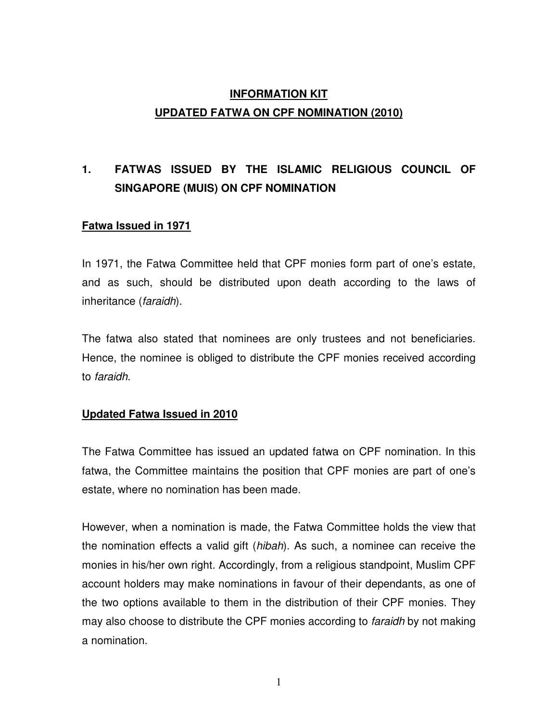## **INFORMATION KIT UPDATED FATWA ON CPF NOMINATION (2010)**

# **1. FATWAS ISSUED BY THE ISLAMIC RELIGIOUS COUNCIL OF SINGAPORE (MUIS) ON CPF NOMINATION**

### **Fatwa Issued in 1971**

In 1971, the Fatwa Committee held that CPF monies form part of one's estate, and as such, should be distributed upon death according to the laws of inheritance (faraidh).

The fatwa also stated that nominees are only trustees and not beneficiaries. Hence, the nominee is obliged to distribute the CPF monies received according to faraidh.

#### **Updated Fatwa Issued in 2010**

The Fatwa Committee has issued an updated fatwa on CPF nomination. In this fatwa, the Committee maintains the position that CPF monies are part of one's estate, where no nomination has been made.

However, when a nomination is made, the Fatwa Committee holds the view that the nomination effects a valid gift (hibah). As such, a nominee can receive the monies in his/her own right. Accordingly, from a religious standpoint, Muslim CPF account holders may make nominations in favour of their dependants, as one of the two options available to them in the distribution of their CPF monies. They may also choose to distribute the CPF monies according to *faraidh* by not making a nomination.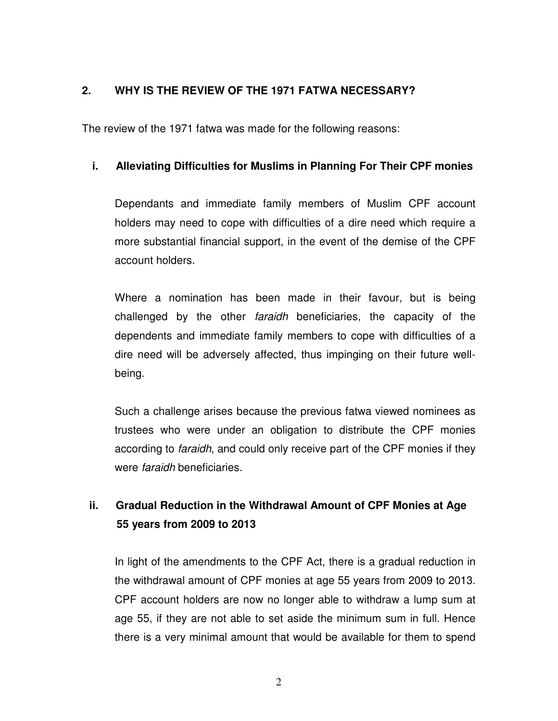### **2. WHY IS THE REVIEW OF THE 1971 FATWA NECESSARY?**

The review of the 1971 fatwa was made for the following reasons:

#### **i. Alleviating Difficulties for Muslims in Planning For Their CPF monies**

Dependants and immediate family members of Muslim CPF account holders may need to cope with difficulties of a dire need which require a more substantial financial support, in the event of the demise of the CPF account holders.

Where a nomination has been made in their favour, but is being challenged by the other faraidh beneficiaries, the capacity of the dependents and immediate family members to cope with difficulties of a dire need will be adversely affected, thus impinging on their future wellbeing.

Such a challenge arises because the previous fatwa viewed nominees as trustees who were under an obligation to distribute the CPF monies according to *faraidh*, and could only receive part of the CPF monies if they were faraidh beneficiaries.

## **ii. Gradual Reduction in the Withdrawal Amount of CPF Monies at Age 55 years from 2009 to 2013**

In light of the amendments to the CPF Act, there is a gradual reduction in the withdrawal amount of CPF monies at age 55 years from 2009 to 2013. CPF account holders are now no longer able to withdraw a lump sum at age 55, if they are not able to set aside the minimum sum in full. Hence there is a very minimal amount that would be available for them to spend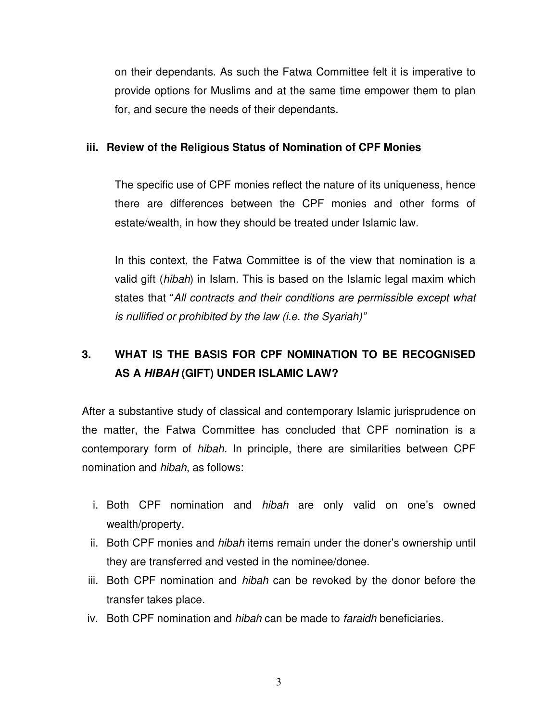on their dependants. As such the Fatwa Committee felt it is imperative to provide options for Muslims and at the same time empower them to plan for, and secure the needs of their dependants.

#### **iii. Review of the Religious Status of Nomination of CPF Monies**

The specific use of CPF monies reflect the nature of its uniqueness, hence there are differences between the CPF monies and other forms of estate/wealth, in how they should be treated under Islamic law.

In this context, the Fatwa Committee is of the view that nomination is a valid gift (hibah) in Islam. This is based on the Islamic legal maxim which states that "All contracts and their conditions are permissible except what is nullified or prohibited by the law (i.e. the Syariah)"

## **3. WHAT IS THE BASIS FOR CPF NOMINATION TO BE RECOGNISED AS A HIBAH (GIFT) UNDER ISLAMIC LAW?**

After a substantive study of classical and contemporary Islamic jurisprudence on the matter, the Fatwa Committee has concluded that CPF nomination is a contemporary form of hibah. In principle, there are similarities between CPF nomination and hibah, as follows:

- i. Both CPF nomination and hibah are only valid on one's owned wealth/property.
- ii. Both CPF monies and hibah items remain under the doner's ownership until they are transferred and vested in the nominee/donee.
- iii. Both CPF nomination and hibah can be revoked by the donor before the transfer takes place.
- iv. Both CPF nomination and hibah can be made to faraidh beneficiaries.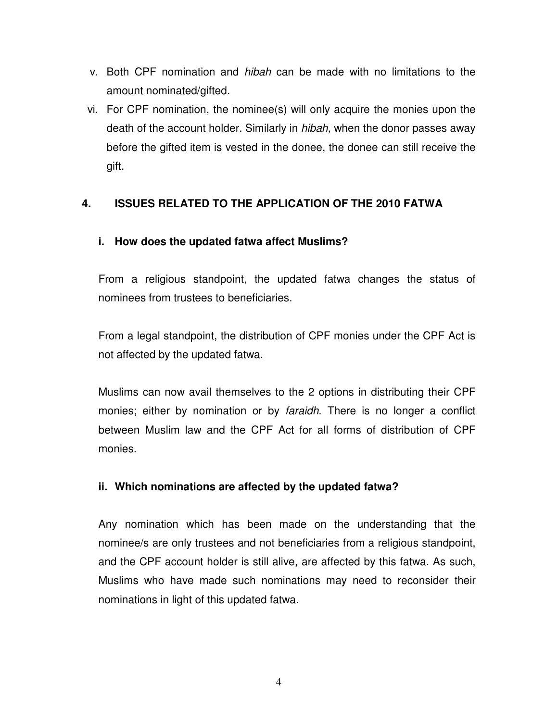- v. Both CPF nomination and hibah can be made with no limitations to the amount nominated/gifted.
- vi. For CPF nomination, the nominee(s) will only acquire the monies upon the death of the account holder. Similarly in hibah, when the donor passes away before the gifted item is vested in the donee, the donee can still receive the gift.

### **4. ISSUES RELATED TO THE APPLICATION OF THE 2010 FATWA**

### **i. How does the updated fatwa affect Muslims?**

From a religious standpoint, the updated fatwa changes the status of nominees from trustees to beneficiaries.

From a legal standpoint, the distribution of CPF monies under the CPF Act is not affected by the updated fatwa.

Muslims can now avail themselves to the 2 options in distributing their CPF monies; either by nomination or by *faraidh*. There is no longer a conflict between Muslim law and the CPF Act for all forms of distribution of CPF monies.

### **ii. Which nominations are affected by the updated fatwa?**

Any nomination which has been made on the understanding that the nominee/s are only trustees and not beneficiaries from a religious standpoint, and the CPF account holder is still alive, are affected by this fatwa. As such, Muslims who have made such nominations may need to reconsider their nominations in light of this updated fatwa.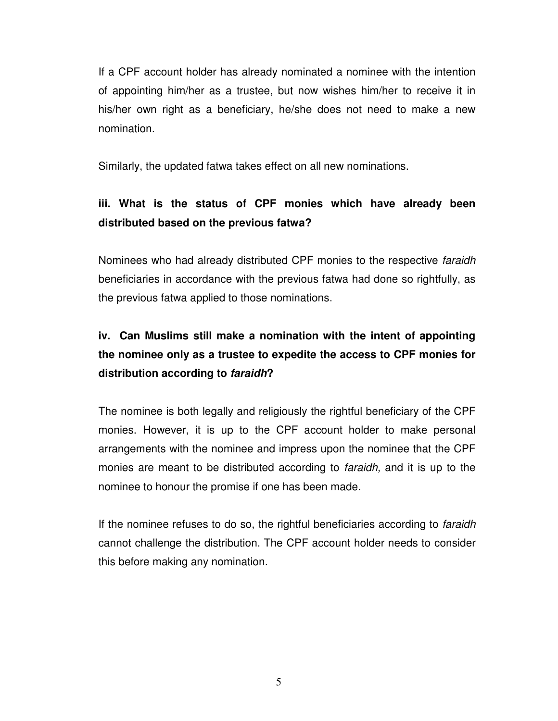If a CPF account holder has already nominated a nominee with the intention of appointing him/her as a trustee, but now wishes him/her to receive it in his/her own right as a beneficiary, he/she does not need to make a new nomination.

Similarly, the updated fatwa takes effect on all new nominations.

## **iii. What is the status of CPF monies which have already been distributed based on the previous fatwa?**

Nominees who had already distributed CPF monies to the respective faraidh beneficiaries in accordance with the previous fatwa had done so rightfully, as the previous fatwa applied to those nominations.

# **iv. Can Muslims still make a nomination with the intent of appointing the nominee only as a trustee to expedite the access to CPF monies for distribution according to faraidh?**

The nominee is both legally and religiously the rightful beneficiary of the CPF monies. However, it is up to the CPF account holder to make personal arrangements with the nominee and impress upon the nominee that the CPF monies are meant to be distributed according to *faraidh*, and it is up to the nominee to honour the promise if one has been made.

If the nominee refuses to do so, the rightful beneficiaries according to *faraidh* cannot challenge the distribution. The CPF account holder needs to consider this before making any nomination.